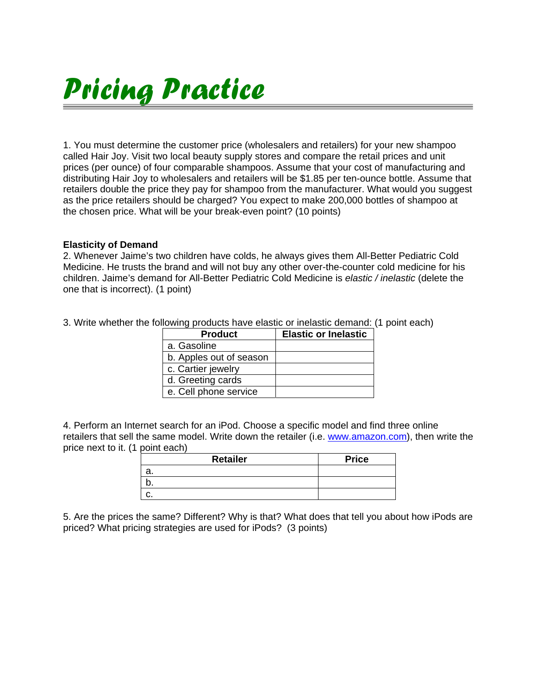## *Pricing Practice*

1. You must determine the customer price (wholesalers and retailers) for your new shampoo called Hair Joy. Visit two local beauty supply stores and compare the retail prices and unit prices (per ounce) of four comparable shampoos. Assume that your cost of manufacturing and distributing Hair Joy to wholesalers and retailers will be \$1.85 per ten-ounce bottle. Assume that retailers double the price they pay for shampoo from the manufacturer. What would you suggest as the price retailers should be charged? You expect to make 200,000 bottles of shampoo at the chosen price. What will be your break-even point? (10 points)

## **Elasticity of Demand**

2. Whenever Jaime's two children have colds, he always gives them All-Better Pediatric Cold Medicine. He trusts the brand and will not buy any other over-the-counter cold medicine for his children. Jaime's demand for All-Better Pediatric Cold Medicine is *elastic / inelastic* (delete the one that is incorrect). (1 point)

|  | <b>Product</b>          | <b>Elastic or Inelastic</b> |  |  |
|--|-------------------------|-----------------------------|--|--|
|  | a. Gasoline             |                             |  |  |
|  | b. Apples out of season |                             |  |  |
|  | c. Cartier jewelry      |                             |  |  |
|  | d. Greeting cards       |                             |  |  |
|  | e. Cell phone service   |                             |  |  |

3. Write whether the following products have elastic or inelastic demand: (1 point each)

4. Perform an Internet search for an iPod. Choose a specific model and find three online retailers that sell the same model. Write down the retailer (i.e. www.amazon.com), then write the price next to it. (1 point each)

| <b>Retailer</b> | <b>Price</b> |
|-----------------|--------------|
| а.              |              |
|                 |              |
|                 |              |

5. Are the prices the same? Different? Why is that? What does that tell you about how iPods are priced? What pricing strategies are used for iPods? (3 points)